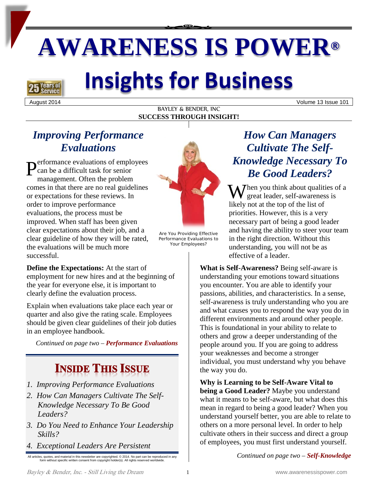# **AWARENESS IS POWER®**

## **Years of**

## **Insights for Business**

August 2014 Volume 13 Issue 101

#### BAYLEY & BENDER, INC **SUCCESS THROUGH INSIGHT!**

## *Improving Performance Evaluations*

erformance evaluations of employees can be a difficult task for senior management. Often the problem comes in that there are no real guidelines or expectations for these reviews. In order to improve performance evaluations, the process must be improved. When staff has been given clear expectations about their job, and a clear guideline of how they will be rated, the evaluations will be much more successful. P



Are You Providing Effective Performance Evaluations to Your Employees?

**Define the Expectations:** At the start of employment for new hires and at the beginning of the year for everyone else, it is important to clearly define the evaluation process.

Explain when evaluations take place each year or quarter and also give the rating scale. Employees should be given clear guidelines of their job duties in an employee handbook.

*Continued on page two – Performance Evaluations*

## **INSIDE THIS ISSUE**

- *1. Improving Performance Evaluations*
- *2. How Can Managers Cultivate The Self-Knowledge Necessary To Be Good Leaders?*
- *3. Do You Need to Enhance Your Leadership Skills?*
- *4. Exceptional Leaders Are Persistent*

All articles, quotes, and material in this newsletter are copyrighted. © 2014. No part can be reproduced in any form without specific written consent from copyright holder(s). All rights reserved worldwide.

## *How Can Managers Cultivate The Self-Knowledge Necessary To Be Good Leaders?*

When you think about qualities of a great leader, self-awareness is great leader, self-awareness is likely not at the top of the list of priorities. However, this is a very necessary part of being a good leader and having the ability to steer your team in the right direction. Without this understanding, you will not be as effective of a leader.

**What is Self-Awareness?** Being self-aware is understanding your emotions toward situations you encounter. You are able to identify your passions, abilities, and characteristics. In a sense, self-awareness is truly understanding who you are and what causes you to respond the way you do in different environments and around other people. This is foundational in your ability to relate to others and grow a deeper understanding of the people around you. If you are going to address your weaknesses and become a stronger individual, you must understand why you behave the way you do.

**Why is Learning to be Self-Aware Vital to being a Good Leader?** Maybe you understand what it means to be self-aware, but what does this mean in regard to being a good leader? When you understand yourself better, you are able to relate to others on a more personal level. In order to help cultivate others in their success and direct a group of employees, you must first understand yourself.

*Continued on page two – Self-Knowledge*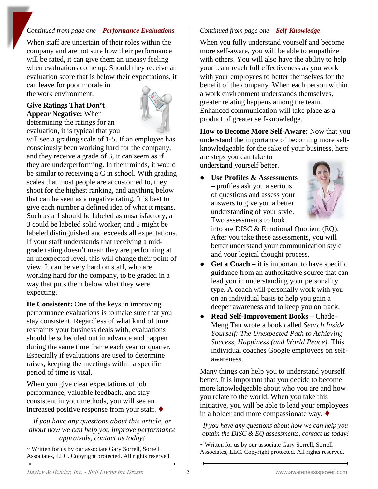#### *Continued from page one – Performance Evaluations*

When staff are uncertain of their roles within the company and are not sure how their performance will be rated, it can give them an uneasy feeling when evaluations come up. Should they receive an evaluation score that is below their expectations, it can leave for poor morale in

the work environment.

### **Give Ratings That Don't Appear Negative:** When





will see a grading scale of 1-5. If an employee has consciously been working hard for the company, and they receive a grade of 3, it can seem as if they are underperforming. In their minds, it would be similar to receiving a C in school. With grading scales that most people are accustomed to, they shoot for the highest ranking, and anything below that can be seen as a negative rating. It is best to give each number a defined idea of what it means. Such as a 1 should be labeled as unsatisfactory; a 3 could be labeled solid worker; and 5 might be labeled distinguished and exceeds all expectations. If your staff understands that receiving a midgrade rating doesn't mean they are performing at an unexpected level, this will change their point of view. It can be very hard on staff, who are working hard for the company, to be graded in a way that puts them below what they were expecting.

**Be Consistent:** One of the keys in improving performance evaluations is to make sure that you stay consistent. Regardless of what kind of time restraints your business deals with, evaluations should be scheduled out in advance and happen during the same time frame each year or quarter. Especially if evaluations are used to determine raises, keeping the meetings within a specific period of time is vital.

When you give clear expectations of job performance, valuable feedback, and stay consistent in your methods, you will see an increased positive response from your staff.

*If you have any questions about this article, or about how we can help you improve performance appraisals, contact us today!*

~ Written for us by our associate Gary Sorrell, Sorrell Associates, LLC. Copyright protected. All rights reserved.

#### *Continued from page one – Self-Knowledge*

When you fully understand yourself and become more self-aware, you will be able to empathize with others. You will also have the ability to help your team reach full effectiveness as you work with your employees to better themselves for the benefit of the company. When each person within a work environment understands themselves, greater relating happens among the team. Enhanced communication will take place as a product of greater self-knowledge.

**How to Become More Self-Aware:** Now that you understand the importance of becoming more selfknowledgeable for the sake of your business, here

are steps you can take to understand yourself better.

Use Profiles & Assessments **–** profiles ask you a serious of questions and assess your answers to give you a better understanding of your style. Two assessments to look



into are DISC & Emotional Quotient (EQ). After you take these assessments, you will better understand your communication style and your logical thought process.

- **Get a Coach** it is important to have specific guidance from an authoritative source that can lead you in understanding your personality type. A coach will personally work with you on an individual basis to help you gain a deeper awareness and to keep you on track.
- **Read Self-Improvement Books –** Chade-Meng Tan wrote a book called *Search Inside Yourself: The Unexpected Path to Achieving Success, Happiness (and World Peace)*. This individual coaches Google employees on selfawareness.

Many things can help you to understand yourself better. It is important that you decide to become more knowledgeable about who you are and how you relate to the world. When you take this initiative, you will be able to lead your employees in a bolder and more compassionate way.  $\blacklozenge$ 

*If you have any questions about how we can help you obtain the DISC & EQ assessments, contact us today!*

~ Written for us by our associate Gary Sorrell, Sorrell Associates, LLC. Copyright protected. All rights reserved.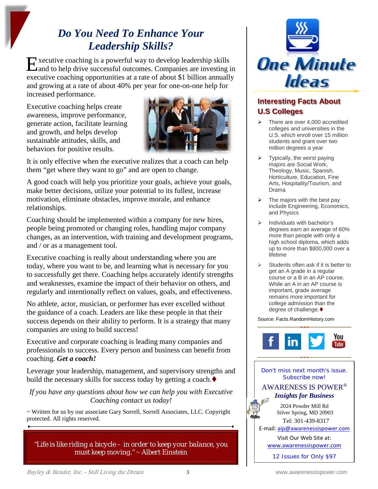## *Do You Need To Enhance Your Leadership Skills?*

xecutive coaching is a powerful way to develop leadership skills Executive coaching is a powerful way to develop leadership skills<br>and to help drive successful outcomes. Companies are investing in executive coaching opportunities at a rate of about \$1 billion annually and growing at a rate of about 40% per year for one-on-one help for increased performance.

Executive coaching helps create awareness, improve performance, generate action, facilitate learning and growth, and helps develop sustainable attitudes, skills, and behaviors for positive results.



It is only effective when the executive realizes that a coach can help them "get where they want to go" and are open to change.

A good coach will help you prioritize your goals, achieve your goals, make better decisions, utilize your potential to its fullest, increase motivation, eliminate obstacles, improve morale, and enhance relationships.

Coaching should be implemented within a company for new hires, people being promoted or changing roles, handling major company changes, as an intervention, with training and development programs, and / or as a management tool.

Executive coaching is really about understanding where you are today, where you want to be, and learning what is necessary for you to successfully get there. Coaching helps accurately identify strengths and weaknesses, examine the impact of their behavior on others, and regularly and intentionally reflect on values, goals, and effectiveness.

No athlete, actor, musician, or performer has ever excelled without the guidance of a coach. Leaders are like these people in that their success depends on their ability to perform. It is a strategy that many companies are using to build success!

Executive and corporate coaching is leading many companies and professionals to success. Every person and business can benefit from coaching. *Get a coach!*

Leverage your leadership, management, and supervisory strengths and build the necessary skills for success today by getting a coach.

*If you have any questions about how we can help you with Executive Coaching contact us today!*

~ Written for us by our associate Gary Sorrell, Sorrell Associates, LLC. Copyright protected. All rights reserved.



 There are over 4,000 accredited colleges and universities in the U.S. which enroll over 15 million students and grant over two million degrees a year

**One Minute** 

- $\triangleright$  Typically, the worst paying majors are Social Work, Theology, Music, Spanish, Horticulture, Education, Fine Arts, Hospitality/Tourism, and Drama
- $\triangleright$  The majors with the best pay include Engineering, Economics, and Physics
- $\triangleright$  Individuals with bachelor's degrees earn an average of 60% more than people with only a high school diploma, which adds up to more than \$800,000 over a lifetime
- $\triangleright$  Students often ask if it is better to get an A grade in a regular course or a B in an AP course. While an A in an AP course is important, grade average remains more important for college admission than the degree of challenge.

Source: Facts.RandomHistory.com



Don't miss next month's issue. Subscribe now! AWARENESS IS POWER® *Insights for Business* 2024 Powder Mill Rd Silver Spring, MD 20903 Tel: 301-439-8317 E-mail: [aip@awarenessispower.com](mailto:aip@awarenessispower.com) Visit Our Web Site at: [www.awarenessispower.com](http://www.awarenessispower.com/) 12 Issues for Only \$97

*"Life is like riding a bicycle – in order to keep your balance, you must keep moving."* ~ *Albert Einstein*